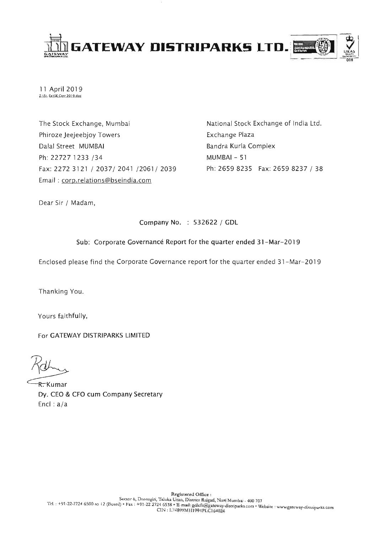

11 April 2019 Z:\St. Ex\SE Corr 2019.doc

The Stock Exchange, Mumbai Phiroze Jeejeebjoy Towers Dalal Street MUMBAI Ph: 22727 1233 /34 Fax: 2272 3121 / 2037/ 2041 /2061/ 2039 Email: corp.relations@bseindia.com

National Stock Exchange of India Ltd. Exchange Plaza Bandra Kurla Complex MUMBAI-51 Ph: 2659 8235 Fax: 2659 8237 / 38

Dear Sir / Madam,

# Company No. : 532622 / GDL

## Sub: Corporate Governancé Report for the quarter ended 31-Mar-2019

Enclosed please find the Corporate Governance report for the quarter ended 31-Mar-2019

Thanking You.

Yours faithfully,

For GATEWAY DISTRIPARKS LIMITED

R. Kumar Dy. CEO & CFO cum Company Secretary Encl:  $a/a$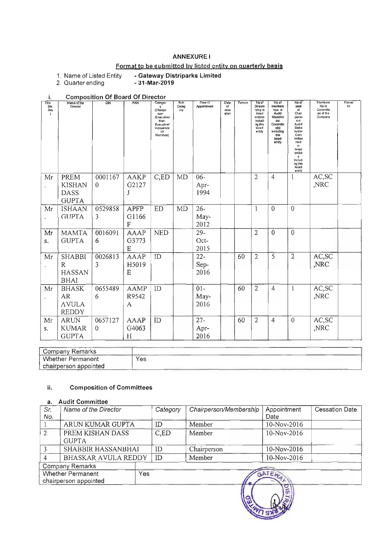## **ANNEXURE I**

# Format to be submitted by listed entity on quarterly basis

- Gateway Distriparks Limited<br>- 31-Mar-2019 1. Name of Listed Entity

2. Quarter ending

| i.                                   |                                                               | <b>Composition Of Board Of Director</b> |                                      |                                                                                                  |                                  |                        |                             |        |                                                                                              |                                                                                                                      |                                                                                                                                                                                           |                                                              |             |
|--------------------------------------|---------------------------------------------------------------|-----------------------------------------|--------------------------------------|--------------------------------------------------------------------------------------------------|----------------------------------|------------------------|-----------------------------|--------|----------------------------------------------------------------------------------------------|----------------------------------------------------------------------------------------------------------------------|-------------------------------------------------------------------------------------------------------------------------------------------------------------------------------------------|--------------------------------------------------------------|-------------|
| Title<br>(Mr.<br>Ms<br>$\rightarrow$ | Name of the<br>Director                                       | $\overline{D}$ IN                       | PAN                                  | Gategor<br>(Chairpe<br>rson<br>/Executive/<br>Non-<br>Executive/<br>Independe<br>nt/<br>Nominee) | S <sub>1</sub> h<br>Categ<br>ory | Date of<br>Appointment | Dale<br>of<br>cess<br>ation | Tenure | No of<br>Directo<br>rship in<br>listed<br>entities<br>includi<br>ng this<br>listed<br>entity | No of<br>members<br>hips in<br>Audit<br>Stakehol<br>der<br>Committe<br>e(s)<br>including<br>this<br>listed<br>entity | No of<br>post<br>of<br>Chair<br>perso<br>nın<br>Audit/<br>Stake<br>holder<br>Com<br>mittee<br>held<br>m<br>listed<br>entitie<br>s<br>includi<br>ng this<br><i><b>listed</b></i><br>entity | <b>Momboro</b><br>hip in<br>Committe<br>es of the<br>Company | Romal<br>ks |
| Mr                                   | <b>PREM</b><br><b>KISHAN</b><br><b>DASS</b><br><b>GUPTA</b>   | 0001167<br>$\theta$                     | <b>AAKP</b><br>G2127<br>J            | C,ED                                                                                             | <b>MD</b>                        | $06 -$<br>Apr-<br>1994 |                             |        | $\overline{2}$                                                                               | $\overline{4}$                                                                                                       | 1                                                                                                                                                                                         | AC, SC<br>,NRC                                               |             |
| Mr                                   | <b>ISHAAN</b><br><b>GUPTA</b>                                 | 0529858<br>3                            | <b>APFP</b><br>G1166<br>F            | <b>ED</b>                                                                                        | MD                               | $26 -$<br>May-<br>2012 |                             |        | 1                                                                                            | $\theta$                                                                                                             | $\overline{0}$                                                                                                                                                                            |                                                              |             |
| Mr<br>S.                             | <b>MAMTA</b><br><b>GUPTA</b>                                  | 0016091<br>6                            | <b>AAAP</b><br>G3773<br>E            | <b>NED</b>                                                                                       |                                  | $29 -$<br>Oct-<br>2015 |                             |        | $\overline{2}$                                                                               | $\mathbf 0$                                                                                                          | $\mathbf{0}$                                                                                                                                                                              |                                                              |             |
| Mr                                   | <b>SHABBI</b><br>$\mathbb{R}$<br><b>HASSAN</b><br><b>BHAI</b> | 0026813<br>3                            | <b>AAAP</b><br>H5019<br>E            | ID                                                                                               |                                  | $22 -$<br>Sep-<br>2016 |                             | 60     | $\overline{2}$                                                                               | 5                                                                                                                    | $\overline{2}$                                                                                                                                                                            | AC,SC<br>,NRC                                                |             |
| Mr                                   | <b>BHASK</b><br>AR<br><b>AVULA</b><br><b>REDDY</b>            | 0655489<br>6                            | <b>AAMP</b><br>R9542<br>$\mathsf{A}$ | ID                                                                                               |                                  | $01 -$<br>May-<br>2016 |                             | 60     | $\overline{2}$                                                                               | $\overline{4}$                                                                                                       | $\mathbf{1}$                                                                                                                                                                              | AC,SC<br>,NRC                                                |             |
| Mr<br>S.                             | <b>ARUN</b><br><b>KUMAR</b><br><b>GUPTA</b>                   | 0657127<br>$\theta$                     | <b>AAAP</b><br>G4063<br>H            | ID                                                                                               |                                  | $27 -$<br>Apr-<br>2016 |                             | 60     | $\overline{2}$                                                                               | $\overline{4}$                                                                                                       | $\theta$                                                                                                                                                                                  | AC,SC<br>,NRC                                                |             |

| Company Remarks          |     |  |
|--------------------------|-----|--|
| <b>Whether Permanent</b> | Yes |  |
| chairperson appointed    |     |  |

#### ii. **Composition of Committees**

#### **Audit Committee**  $\overline{a}$

| Sr.<br>No.                                        | Name of the Director             |  | Category | Chairperson/Membership | Appointment<br>Date | <b>Cessation Date</b> |
|---------------------------------------------------|----------------------------------|--|----------|------------------------|---------------------|-----------------------|
|                                                   | ARUN KUMAR GUPTA                 |  | ID       | Member                 | 10-Nov-2016         |                       |
| $\mathfrak{D}$                                    | PREM KISHAN DASS<br><b>GUPTA</b> |  | C,ED     | Member                 | 10-Nov-2016         |                       |
|                                                   | <b>SHABBIR HASSANBHAI</b>        |  | ID       | Chairperson            | 10-Nov-2016         |                       |
| 4                                                 | <b>BHASKAR AVULA REDDY</b>       |  | ID       | Member                 | 10-Nov-2016         |                       |
|                                                   | Company Remarks                  |  |          |                        |                     |                       |
| Whether Permanent<br>Yes<br>chairperson appointed |                                  |  |          | GATEW.                 |                     |                       |
|                                                   |                                  |  |          |                        |                     |                       |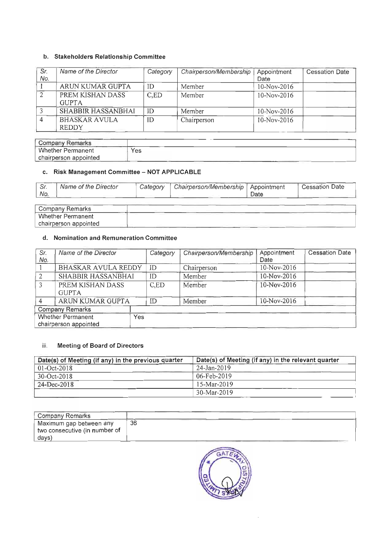# b. Stakeholders Relationship Committee

| Sr.<br>No. | Name of the Director                 | Category | Chairperson/Membership | Appointment<br>Date | <b>Cessation Date</b> |
|------------|--------------------------------------|----------|------------------------|---------------------|-----------------------|
|            | ARUN KUMAR GUPTA                     | ID       | Member                 | 10-Nov-2016         |                       |
|            | PREM KISHAN DASS<br><b>GUPTA</b>     | C.ED     | Member                 | 10-Nov-2016         |                       |
|            | SHABBIR HASSANBHAI                   | ID       | Member                 | $10-Nov-2016$       |                       |
|            | <b>BHASKAR AVULA</b><br><b>REDDY</b> | ID       | Chairperson            | 10-Nov-2016         |                       |

| $\sqrt{2}$<br>Company<br>Remarks |     |  |
|----------------------------------|-----|--|
| Whether Permanent                | Yes |  |
| chairperson appointed            |     |  |

## c. Risk Management Committee - **NOT APPLICABLE**

|      | Name of the Director | Category | Chairperson/Membership   Appointment |      | <b>Cessation Date</b> |
|------|----------------------|----------|--------------------------------------|------|-----------------------|
| `No. |                      |          |                                      | Date |                       |

| Remarks<br>Company       |  |
|--------------------------|--|
| Whether Permanent        |  |
| appointed<br>chairperson |  |

## d. Nomination and Remuneration Committee

| Sr.<br>No.                                        | Name of the Director             | Category | Chairperson/Membership | Appointment<br>Date | <b>Cessation Date</b> |
|---------------------------------------------------|----------------------------------|----------|------------------------|---------------------|-----------------------|
|                                                   | <b>BHASKAR AVULA REDDY</b>       | ID       | Chairperson            | 10-Nov-2016         |                       |
| 2                                                 | SHABBIR HASSANBHAI               | ID       | Member                 | 10-Nov-2016         |                       |
| 3                                                 | PREM KISHAN DASS<br><b>GUPTA</b> | C.ED     | Member                 | 10-Nov-2016         |                       |
| 4                                                 | ARUN KUMAR GUPTA                 | ID       | Member                 | 10-Nov-2016         |                       |
|                                                   | <b>Company Remarks</b>           |          |                        |                     |                       |
| <b>Whether Permanent</b><br>chairperson appointed |                                  | Yes      |                        |                     |                       |

## iii. Meeting of Board of Directors

| Date(s) of Meeting (if any) in the previous quarter | Date(s) of Meeting (if any) in the relevant quarter |
|-----------------------------------------------------|-----------------------------------------------------|
| $01 - Oct-2018$                                     | 24-Jan-2019                                         |
| $30 - Oct - 2018$                                   | 06-Feb-2019                                         |
| 24-Dec-2018                                         | 15-Mar-2019                                         |
|                                                     | $30-Mar-2019$                                       |

| <sup>1</sup> Company Remarks  |    |  |
|-------------------------------|----|--|
| Maximum gap between any       | 36 |  |
| two consecutive (in number of |    |  |
| days)                         |    |  |

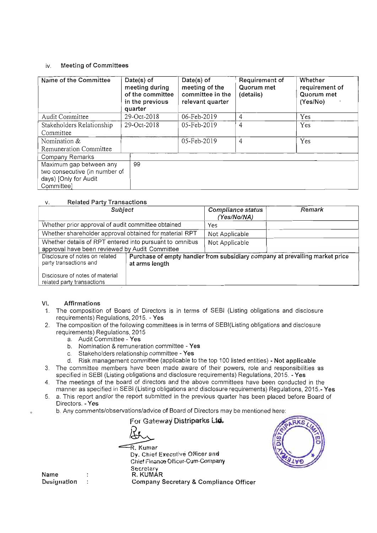#### iv. Meeting of Committees

| Name of the Committee         | Date(s) of<br>meeting during<br>of the committee<br>in the previous<br>quarter | Date(s) of<br>meeting of the<br>committee in the<br>relevant quarter | Requirement of<br>Quorum met<br>(details) | Whether<br>requirement of<br>Quorum met<br>(Yes/No) |
|-------------------------------|--------------------------------------------------------------------------------|----------------------------------------------------------------------|-------------------------------------------|-----------------------------------------------------|
| Audit Committee               | 29-Oct-2018                                                                    | 06-Feb-2019                                                          | 4                                         | Yes                                                 |
| Stakeholders Relationship     | 29-Oct-2018                                                                    | 05-Feb-2019                                                          | 4                                         | Yes                                                 |
| Committee                     |                                                                                |                                                                      |                                           |                                                     |
| Nomination &                  |                                                                                | 05-Feb-2019                                                          | 4                                         | Yes                                                 |
| Remuneration Committee        |                                                                                |                                                                      |                                           |                                                     |
| Company Remarks               |                                                                                |                                                                      |                                           |                                                     |
| Maximum gap between any       | 99                                                                             |                                                                      |                                           |                                                     |
| two consecutive (in number of |                                                                                |                                                                      |                                           |                                                     |
| days) [Only for Audit         |                                                                                |                                                                      |                                           |                                                     |
| Committee]                    |                                                                                |                                                                      |                                           |                                                     |

#### v. Related Party Transactions

| Subject                                                       |                | Compliance status<br>(Yes/No/NA) | Remark                                                                       |  |  |  |  |
|---------------------------------------------------------------|----------------|----------------------------------|------------------------------------------------------------------------------|--|--|--|--|
| Whether prior approval of audit committee obtained            |                | Yes                              |                                                                              |  |  |  |  |
| Whether shareholder approval obtained for material RPT        |                | Not Applicable                   |                                                                              |  |  |  |  |
| Whether details of RPT entered into pursuant to omnibus       |                | Not Applicable                   |                                                                              |  |  |  |  |
| approval have been reviewed by Audit Committee                |                |                                  |                                                                              |  |  |  |  |
| Disclosure of notes on related<br>party transactions and      | at arms length |                                  | Purchase of empty handler from subsidiary company at prevailing market price |  |  |  |  |
| Disclosure of notes of material<br>related party transactions |                |                                  |                                                                              |  |  |  |  |

### VI. Affirmations

- 1. The composition of Board of Directors is in terms of SEBI (Listing obligations and disclosure requirements) Regulations, 2015. - Yes
- 2. The composition of the following committees is in terms of SEBI(Listing obligations and disclosure requirements) Regulations, 2015
	- a. Audit Committee Yes
	- b. Nomination & remuneration committee Yes
	- c. Stakeholders relationship committee Yes
	- d. Risk management committee (applicable to the top 100 listed entities) Not applicable
- 3. The committee members have been made aware of their powers, role and responsibilities as specified in SEBI (Listing obligations and disclosure requirements) Regulations, 2015. - Yes
- 4. The meetings of the board of directors and the above committees have been conducted in the manner as specified in SEBI (Listing obligations and disclosure requirements) Regulations, 2015.- Yes
- 5. a. This report and/or the report submitted in the previous quarter has been placed before Board of . This report and<br>irectors. Ves
	- Directors. Yes<br>b. Any comments/observations/advice of Board of Directors may be mentioned here:

For Gateway Distriparks Ltd. **For Gateway Distriparks**  $\overline{\textrm{R}}$ . Kumar<br>- Dy. Chief Executive Officer and Chief Finance Officer-Cum-Company Secretary R. KUMAR Company Secretary & Compliance Officer



Name Designation :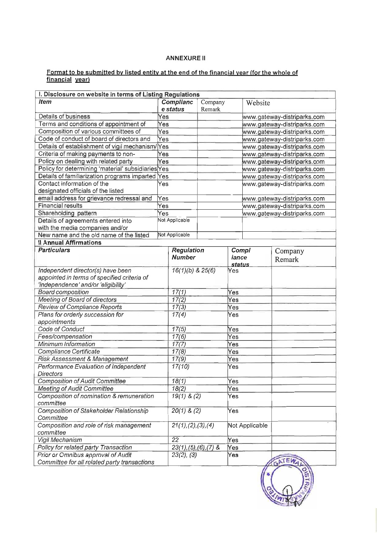### ANNEXURE II

#### **Format to be submitted by listed entity at the end of the financial year (for the whole of financial year)**

| I. Disclosure on website in terms of Listing Regulations |                       |                           |         |                             |                |                             |
|----------------------------------------------------------|-----------------------|---------------------------|---------|-----------------------------|----------------|-----------------------------|
| <b>Item</b>                                              | Complianc<br>e status |                           | Company |                             | Website        |                             |
|                                                          |                       |                           | Remark  |                             |                |                             |
| Details of business                                      | Yes                   |                           |         |                             |                | www.gateway-distriparks.com |
| Terms and conditions of appointment of                   | Yes                   |                           |         |                             |                | www.gateway-distriparks.com |
| Composition of various committees of                     | Yes                   |                           |         |                             |                | www.gateway-distriparks.com |
| Code of conduct of board of directors and                | Yes                   |                           |         |                             |                | www.gateway-distriparks.com |
| Details of establishment of vigil mechanism/             | Yes                   |                           |         |                             |                | www.gateway-distriparks.com |
| Criteria of making payments to non-                      | Yes                   |                           |         | www.gateway-distriparks.com |                |                             |
| Policy on dealing with related party                     | Yes                   |                           |         | www.gateway-distriparks.com |                |                             |
| Policy for determining 'material' subsidiaries Yes       |                       |                           |         | www.gateway-distriparks.com |                |                             |
| Details of familiarization programs imparted             | Yes                   |                           |         |                             |                | www.gateway-distriparks.com |
| Contact information of the                               | Yes                   |                           |         |                             |                | www.gateway-distriparks.com |
| designated officials of the listed                       |                       |                           |         |                             |                |                             |
| email address for grievance redressal and                | Yes                   |                           |         |                             |                | www.gateway-distriparks.com |
| <b>Financial results</b>                                 | Yes                   |                           |         |                             |                | www.gateway-distriparks.com |
| Shareholding pattern                                     | $\overline{Yes}$      |                           |         |                             |                | www.gateway-distriparks.com |
| Details of agreements entered into                       |                       | Not Applicable            |         |                             |                |                             |
| with the media companies and/or                          |                       |                           |         |                             |                |                             |
| New name and the old name of the listed                  |                       | Not Applicable            |         |                             |                |                             |
| <b>Il Annual Affirmations</b>                            |                       |                           |         |                             |                |                             |
| <b>Particulars</b>                                       |                       | Regulation                |         | Compl                       |                | Company                     |
|                                                          |                       | <b>Number</b>             |         | iance                       |                |                             |
|                                                          |                       |                           |         | status                      |                | Remark                      |
| Independent director(s) have been                        |                       | $\sqrt{16(1)(b)}$ & 25(6) |         | Yes                         |                |                             |
| appointed in terms of specified criteria of              |                       |                           |         |                             |                |                             |
| 'independence' and/or 'eligibility'                      |                       |                           |         |                             |                |                             |
| <b>Board composition</b>                                 | 17(1)                 |                           |         | Yes                         |                |                             |
| Meeting of Board of directors                            | 17(2)                 |                           |         | Yes                         |                |                             |
| Review of Compliance Reports                             |                       | 17(3)                     | Yes     |                             |                |                             |
| Plans for orderly succession for                         |                       |                           |         | Yes                         |                |                             |
| appointments                                             |                       | 17(4)                     |         |                             |                |                             |
| Code of Conduct                                          |                       | 17(5)                     |         | Yes                         |                |                             |
| Fees/compensation                                        |                       | 17(6)                     |         | Yes                         |                |                             |
| Minimum Information                                      |                       | 17(7)                     |         | Yes                         |                |                             |
| Compliance Certificate                                   |                       | 17(8)                     |         | Yes                         |                |                             |
| Risk Assessment & Management                             |                       | 17(9)                     | Yes     |                             |                |                             |
| Performance Evaluation of Independent                    |                       | 17(10)                    |         | Yes                         |                |                             |
| <b>Directors</b>                                         |                       |                           |         |                             |                |                             |
| <b>Composition of Audit Committee</b>                    |                       | 18(1)                     |         | Yes                         |                |                             |
| <b>Meeting of Audit Committee</b>                        | 18(2)                 |                           |         | Yes                         |                |                             |
| Composition of nomination & remuneration                 | $19(1)$ & $(2)$       |                           |         | Yes                         |                |                             |
| committee                                                |                       |                           |         |                             |                |                             |
| Composition of Stakeholder Relationship                  |                       | $20(1)$ & $(2)$           |         | Yes                         |                |                             |
| Committee                                                |                       |                           |         |                             |                |                             |
| Composition and role of risk management                  |                       | 21(1), (2), (3), (4)      |         |                             | Not Applicable |                             |
| committee                                                |                       |                           |         |                             |                |                             |
| Vigil Mechanism                                          |                       | 22                        |         | Yes                         |                |                             |
| Policy for related party Transaction                     |                       | $23(1), (5), (6), (7)$ &  |         | Yes                         |                |                             |
| Prior or Omnibus approval of Audit                       |                       | $23(2)$ , $(3)$           |         | Yes                         |                |                             |
| Committee for all related party transactions             |                       |                           |         |                             |                | GATEW                       |
|                                                          |                       |                           |         |                             |                |                             |

 $\mathbb{R}$   $\mathbb{R}$ **".I/Hj** ;:> •  $\mathbf{z}$